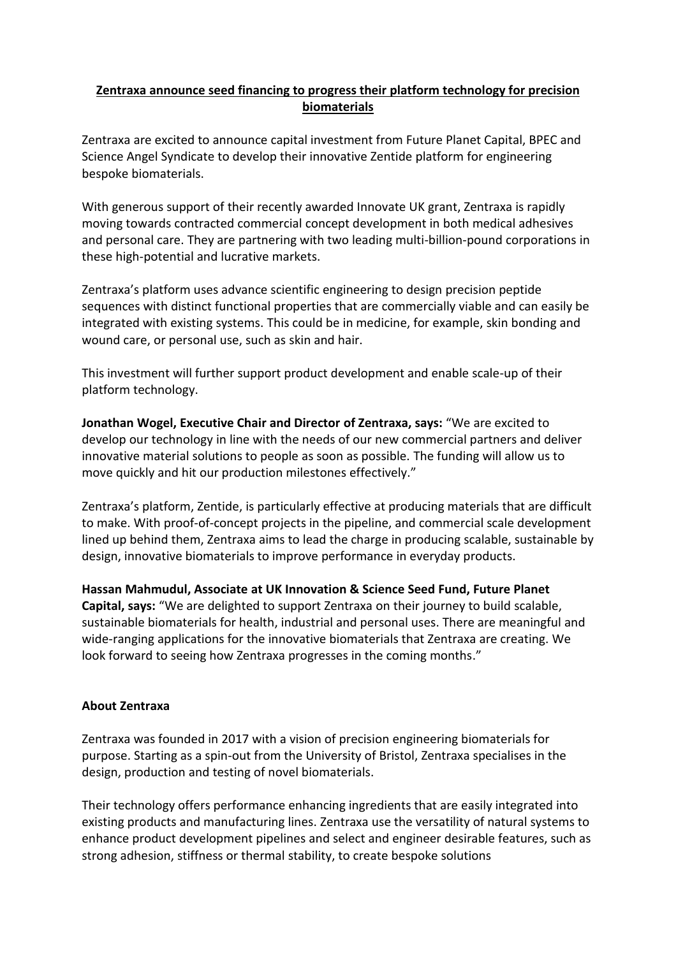## **Zentraxa announce seed financing to progress their platform technology for precision biomaterials**

Zentraxa are excited to announce capital investment from Future Planet Capital, BPEC and Science Angel Syndicate to develop their innovative Zentide platform for engineering bespoke biomaterials.

With generous support of their recently awarded Innovate UK grant, Zentraxa is rapidly moving towards contracted commercial concept development in both medical adhesives and personal care. They are partnering with two leading multi-billion-pound corporations in these high-potential and lucrative markets.

Zentraxa's platform uses advance scientific engineering to design precision peptide sequences with distinct functional properties that are commercially viable and can easily be integrated with existing systems. This could be in medicine, for example, skin bonding and wound care, or personal use, such as skin and hair.

This investment will further support product development and enable scale-up of their platform technology.

**Jonathan Wogel, Executive Chair and Director of Zentraxa, says:** "We are excited to develop our technology in line with the needs of our new commercial partners and deliver innovative material solutions to people as soon as possible. The funding will allow us to move quickly and hit our production milestones effectively."

Zentraxa's platform, Zentide, is particularly effective at producing materials that are difficult to make. With proof-of-concept projects in the pipeline, and commercial scale development lined up behind them, Zentraxa aims to lead the charge in producing scalable, sustainable by design, innovative biomaterials to improve performance in everyday products.

**Hassan Mahmudul, Associate at UK Innovation & Science Seed Fund, Future Planet Capital, says:** "We are delighted to support Zentraxa on their journey to build scalable, sustainable biomaterials for health, industrial and personal uses. There are meaningful and wide-ranging applications for the innovative biomaterials that Zentraxa are creating. We look forward to seeing how Zentraxa progresses in the coming months."

## **About Zentraxa**

Zentraxa was founded in 2017 with a vision of precision engineering biomaterials for purpose. Starting as a spin-out from the University of Bristol, Zentraxa specialises in the design, production and testing of novel biomaterials.

Their technology offers performance enhancing ingredients that are easily integrated into existing products and manufacturing lines. Zentraxa use the versatility of natural systems to enhance product development pipelines and select and engineer desirable features, such as strong adhesion, stiffness or thermal stability, to create bespoke solutions